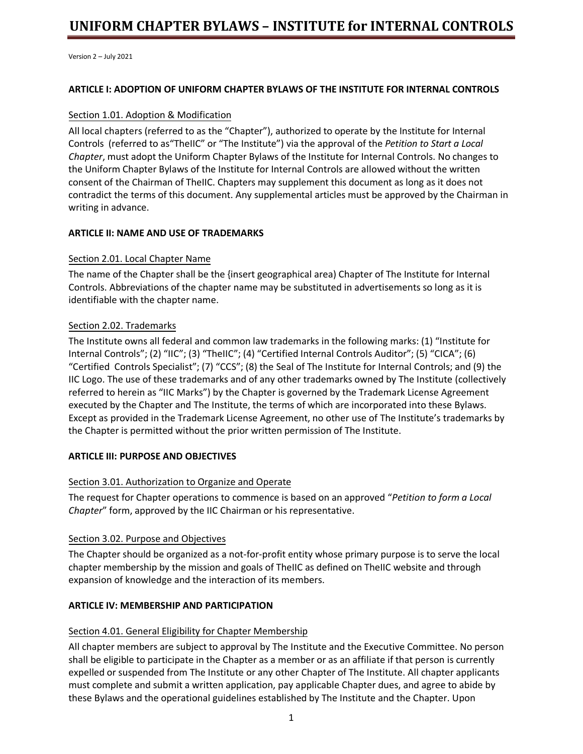# **UNIFORM CHAPTER BYLAWS – INSTITUTE for INTERNAL CONTROLS**

Version 2 – July 2021

### **ARTICLE I: ADOPTION OF UNIFORM CHAPTER BYLAWS OF THE INSTITUTE FOR INTERNAL CONTROLS**

### Section 1.01. Adoption & Modification

All local chapters (referred to as the "Chapter"), authorized to operate by the Institute for Internal Controls (referred to as"TheIIC" or "The Institute") via the approval of the *Petition to Start a Local Chapter*, must adopt the Uniform Chapter Bylaws of the Institute for Internal Controls. No changes to the Uniform Chapter Bylaws of the Institute for Internal Controls are allowed without the written consent of the Chairman of TheIIC. Chapters may supplement this document as long as it does not contradict the terms of this document. Any supplemental articles must be approved by the Chairman in writing in advance.

# **ARTICLE II: NAME AND USE OF TRADEMARKS**

### Section 2.01. Local Chapter Name

The name of the Chapter shall be the {insert geographical area) Chapter of The Institute for Internal Controls. Abbreviations of the chapter name may be substituted in advertisements so long as it is identifiable with the chapter name.

### Section 2.02. Trademarks

The Institute owns all federal and common law trademarks in the following marks: (1) "Institute for Internal Controls"; (2) "IIC"; (3) "TheIIC"; (4) "Certified Internal Controls Auditor"; (5) "CICA"; (6) "Certified Controls Specialist"; (7) "CCS"; (8) the Seal of The Institute for Internal Controls; and (9) the IIC Logo. The use of these trademarks and of any other trademarks owned by The Institute (collectively referred to herein as "IIC Marks") by the Chapter is governed by the Trademark License Agreement executed by the Chapter and The Institute, the terms of which are incorporated into these Bylaws. Except as provided in the Trademark License Agreement, no other use of The Institute's trademarks by the Chapter is permitted without the prior written permission of The Institute.

# **ARTICLE III: PURPOSE AND OBJECTIVES**

# Section 3.01. Authorization to Organize and Operate

The request for Chapter operations to commence is based on an approved "*Petition to form a Local Chapter*" form, approved by the IIC Chairman or his representative.

### Section 3.02. Purpose and Objectives

The Chapter should be organized as a not-for-profit entity whose primary purpose is to serve the local chapter membership by the mission and goals of TheIIC as defined on TheIIC website and through expansion of knowledge and the interaction of its members.

# **ARTICLE IV: MEMBERSHIP AND PARTICIPATION**

# Section 4.01. General Eligibility for Chapter Membership

All chapter members are subject to approval by The Institute and the Executive Committee. No person shall be eligible to participate in the Chapter as a member or as an affiliate if that person is currently expelled or suspended from The Institute or any other Chapter of The Institute. All chapter applicants must complete and submit a written application, pay applicable Chapter dues, and agree to abide by these Bylaws and the operational guidelines established by The Institute and the Chapter. Upon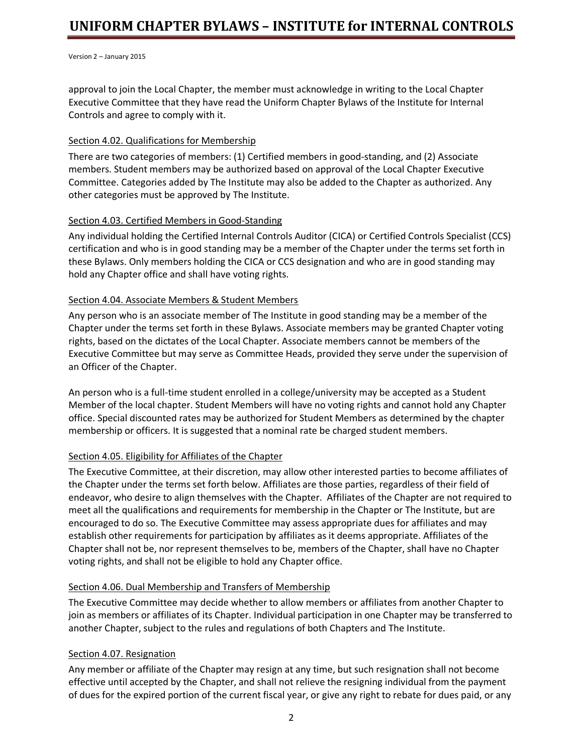approval to join the Local Chapter, the member must acknowledge in writing to the Local Chapter Executive Committee that they have read the Uniform Chapter Bylaws of the Institute for Internal Controls and agree to comply with it.

# Section 4.02. Qualifications for Membership

There are two categories of members: (1) Certified members in good-standing, and (2) Associate members. Student members may be authorized based on approval of the Local Chapter Executive Committee. Categories added by The Institute may also be added to the Chapter as authorized. Any other categories must be approved by The Institute.

# Section 4.03. Certified Members in Good-Standing

Any individual holding the Certified Internal Controls Auditor (CICA) or Certified Controls Specialist (CCS) certification and who is in good standing may be a member of the Chapter under the terms set forth in these Bylaws. Only members holding the CICA or CCS designation and who are in good standing may hold any Chapter office and shall have voting rights.

### Section 4.04. Associate Members & Student Members

Any person who is an associate member of The Institute in good standing may be a member of the Chapter under the terms set forth in these Bylaws. Associate members may be granted Chapter voting rights, based on the dictates of the Local Chapter. Associate members cannot be members of the Executive Committee but may serve as Committee Heads, provided they serve under the supervision of an Officer of the Chapter.

An person who is a full-time student enrolled in a college/university may be accepted as a Student Member of the local chapter. Student Members will have no voting rights and cannot hold any Chapter office. Special discounted rates may be authorized for Student Members as determined by the chapter membership or officers. It is suggested that a nominal rate be charged student members.

# Section 4.05. Eligibility for Affiliates of the Chapter

The Executive Committee, at their discretion, may allow other interested parties to become affiliates of the Chapter under the terms set forth below. Affiliates are those parties, regardless of their field of endeavor, who desire to align themselves with the Chapter. Affiliates of the Chapter are not required to meet all the qualifications and requirements for membership in the Chapter or The Institute, but are encouraged to do so. The Executive Committee may assess appropriate dues for affiliates and may establish other requirements for participation by affiliates as it deems appropriate. Affiliates of the Chapter shall not be, nor represent themselves to be, members of the Chapter, shall have no Chapter voting rights, and shall not be eligible to hold any Chapter office.

# Section 4.06. Dual Membership and Transfers of Membership

The Executive Committee may decide whether to allow members or affiliates from another Chapter to join as members or affiliates of its Chapter. Individual participation in one Chapter may be transferred to another Chapter, subject to the rules and regulations of both Chapters and The Institute.

# Section 4.07. Resignation

Any member or affiliate of the Chapter may resign at any time, but such resignation shall not become effective until accepted by the Chapter, and shall not relieve the resigning individual from the payment of dues for the expired portion of the current fiscal year, or give any right to rebate for dues paid, or any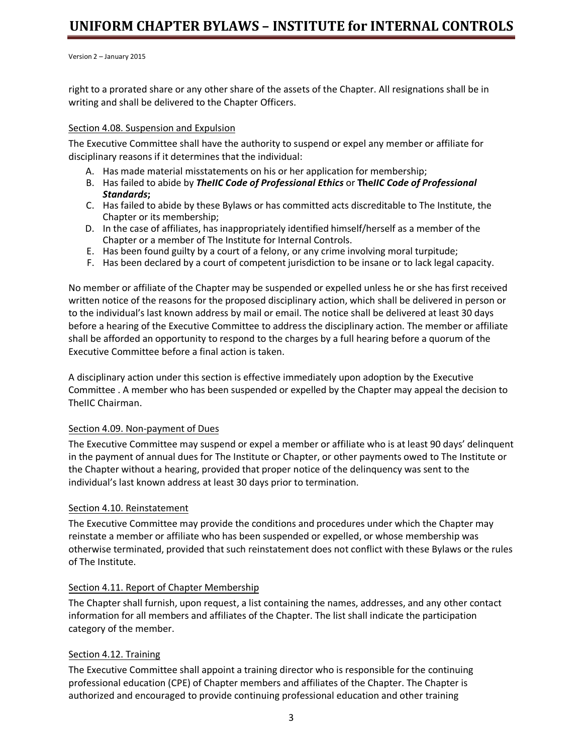right to a prorated share or any other share of the assets of the Chapter. All resignations shall be in writing and shall be delivered to the Chapter Officers.

# Section 4.08. Suspension and Expulsion

The Executive Committee shall have the authority to suspend or expel any member or affiliate for disciplinary reasons if it determines that the individual:

- A. Has made material misstatements on his or her application for membership;
- B. Has failed to abide by *TheIIC Code of Professional Ethics* or **The***IIC Code of Professional Standards***;**
- C. Has failed to abide by these Bylaws or has committed acts discreditable to The Institute, the Chapter or its membership;
- D. In the case of affiliates, has inappropriately identified himself/herself as a member of the Chapter or a member of The Institute for Internal Controls.
- E. Has been found guilty by a court of a felony, or any crime involving moral turpitude;
- F. Has been declared by a court of competent jurisdiction to be insane or to lack legal capacity.

No member or affiliate of the Chapter may be suspended or expelled unless he or she has first received written notice of the reasons for the proposed disciplinary action, which shall be delivered in person or to the individual's last known address by mail or email. The notice shall be delivered at least 30 days before a hearing of the Executive Committee to address the disciplinary action. The member or affiliate shall be afforded an opportunity to respond to the charges by a full hearing before a quorum of the Executive Committee before a final action is taken.

A disciplinary action under this section is effective immediately upon adoption by the Executive Committee . A member who has been suspended or expelled by the Chapter may appeal the decision to TheIIC Chairman.

# Section 4.09. Non-payment of Dues

The Executive Committee may suspend or expel a member or affiliate who is at least 90 days' delinquent in the payment of annual dues for The Institute or Chapter, or other payments owed to The Institute or the Chapter without a hearing, provided that proper notice of the delinquency was sent to the individual's last known address at least 30 days prior to termination.

# Section 4.10. Reinstatement

The Executive Committee may provide the conditions and procedures under which the Chapter may reinstate a member or affiliate who has been suspended or expelled, or whose membership was otherwise terminated, provided that such reinstatement does not conflict with these Bylaws or the rules of The Institute.

# Section 4.11. Report of Chapter Membership

The Chapter shall furnish, upon request, a list containing the names, addresses, and any other contact information for all members and affiliates of the Chapter. The list shall indicate the participation category of the member.

# Section 4.12. Training

The Executive Committee shall appoint a training director who is responsible for the continuing professional education (CPE) of Chapter members and affiliates of the Chapter. The Chapter is authorized and encouraged to provide continuing professional education and other training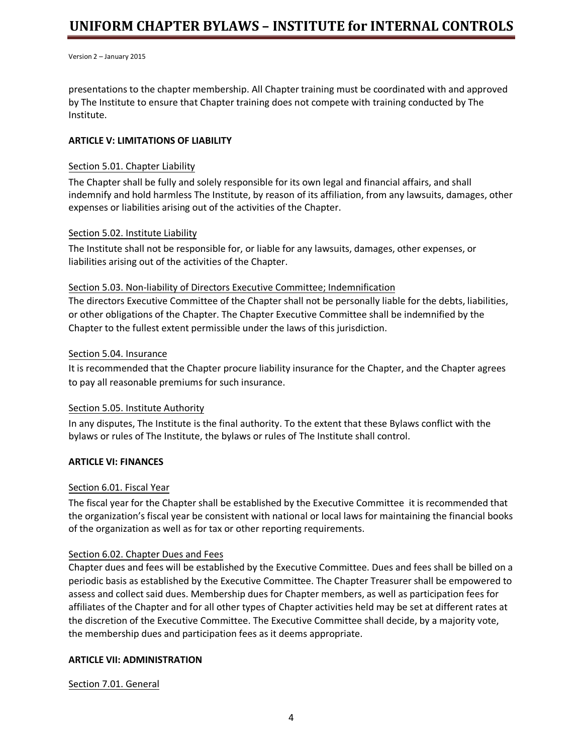presentations to the chapter membership. All Chapter training must be coordinated with and approved by The Institute to ensure that Chapter training does not compete with training conducted by The Institute.

# **ARTICLE V: LIMITATIONS OF LIABILITY**

### Section 5.01. Chapter Liability

The Chapter shall be fully and solely responsible for its own legal and financial affairs, and shall indemnify and hold harmless The Institute, by reason of its affiliation, from any lawsuits, damages, other expenses or liabilities arising out of the activities of the Chapter.

### Section 5.02. Institute Liability

The Institute shall not be responsible for, or liable for any lawsuits, damages, other expenses, or liabilities arising out of the activities of the Chapter.

### Section 5.03. Non-liability of Directors Executive Committee; Indemnification

The directors Executive Committee of the Chapter shall not be personally liable for the debts, liabilities, or other obligations of the Chapter. The Chapter Executive Committee shall be indemnified by the Chapter to the fullest extent permissible under the laws of this jurisdiction.

### Section 5.04. Insurance

It is recommended that the Chapter procure liability insurance for the Chapter, and the Chapter agrees to pay all reasonable premiums for such insurance.

### Section 5.05. Institute Authority

In any disputes, The Institute is the final authority. To the extent that these Bylaws conflict with the bylaws or rules of The Institute, the bylaws or rules of The Institute shall control.

### **ARTICLE VI: FINANCES**

### Section 6.01. Fiscal Year

The fiscal year for the Chapter shall be established by the Executive Committee it is recommended that the organization's fiscal year be consistent with national or local laws for maintaining the financial books of the organization as well as for tax or other reporting requirements.

# Section 6.02. Chapter Dues and Fees

Chapter dues and fees will be established by the Executive Committee. Dues and fees shall be billed on a periodic basis as established by the Executive Committee. The Chapter Treasurer shall be empowered to assess and collect said dues. Membership dues for Chapter members, as well as participation fees for affiliates of the Chapter and for all other types of Chapter activities held may be set at different rates at the discretion of the Executive Committee. The Executive Committee shall decide, by a majority vote, the membership dues and participation fees as it deems appropriate.

# **ARTICLE VII: ADMINISTRATION**

Section 7.01. General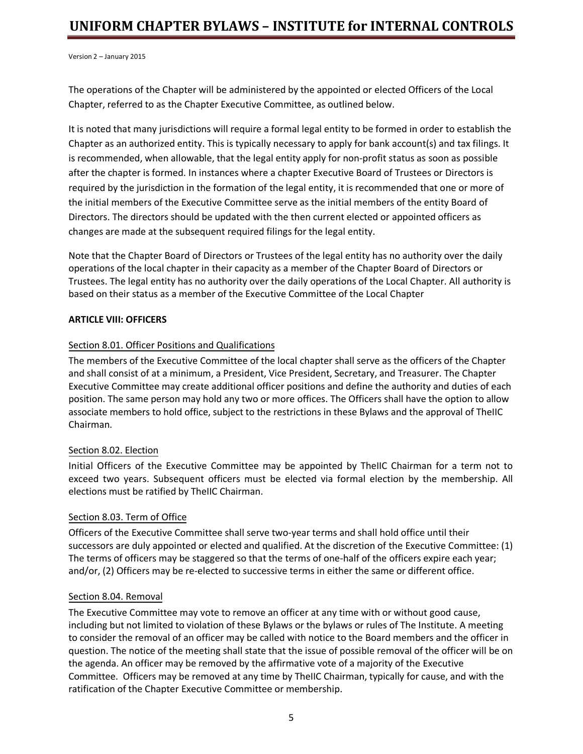The operations of the Chapter will be administered by the appointed or elected Officers of the Local Chapter, referred to as the Chapter Executive Committee, as outlined below.

It is noted that many jurisdictions will require a formal legal entity to be formed in order to establish the Chapter as an authorized entity. This is typically necessary to apply for bank account(s) and tax filings. It is recommended, when allowable, that the legal entity apply for non-profit status as soon as possible after the chapter is formed. In instances where a chapter Executive Board of Trustees or Directors is required by the jurisdiction in the formation of the legal entity, it is recommended that one or more of the initial members of the Executive Committee serve as the initial members of the entity Board of Directors. The directors should be updated with the then current elected or appointed officers as changes are made at the subsequent required filings for the legal entity.

Note that the Chapter Board of Directors or Trustees of the legal entity has no authority over the daily operations of the local chapter in their capacity as a member of the Chapter Board of Directors or Trustees. The legal entity has no authority over the daily operations of the Local Chapter. All authority is based on their status as a member of the Executive Committee of the Local Chapter

# **ARTICLE VIII: OFFICERS**

# Section 8.01. Officer Positions and Qualifications

The members of the Executive Committee of the local chapter shall serve as the officers of the Chapter and shall consist of at a minimum, a President, Vice President, Secretary, and Treasurer. The Chapter Executive Committee may create additional officer positions and define the authority and duties of each position. The same person may hold any two or more offices. The Officers shall have the option to allow associate members to hold office, subject to the restrictions in these Bylaws and the approval of TheIIC Chairman.

# Section 8.02. Election

Initial Officers of the Executive Committee may be appointed by TheIIC Chairman for a term not to exceed two years. Subsequent officers must be elected via formal election by the membership. All elections must be ratified by TheIIC Chairman.

# Section 8.03. Term of Office

Officers of the Executive Committee shall serve two-year terms and shall hold office until their successors are duly appointed or elected and qualified. At the discretion of the Executive Committee: (1) The terms of officers may be staggered so that the terms of one-half of the officers expire each year; and/or, (2) Officers may be re-elected to successive terms in either the same or different office.

# Section 8.04. Removal

The Executive Committee may vote to remove an officer at any time with or without good cause, including but not limited to violation of these Bylaws or the bylaws or rules of The Institute. A meeting to consider the removal of an officer may be called with notice to the Board members and the officer in question. The notice of the meeting shall state that the issue of possible removal of the officer will be on the agenda. An officer may be removed by the affirmative vote of a majority of the Executive Committee. Officers may be removed at any time by TheIIC Chairman, typically for cause, and with the ratification of the Chapter Executive Committee or membership.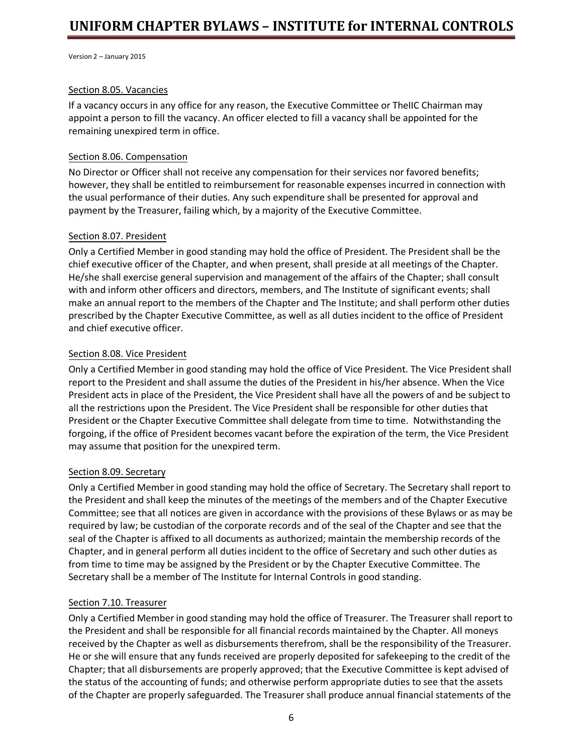# Section 8.05. Vacancies

If a vacancy occurs in any office for any reason, the Executive Committee or TheIIC Chairman may appoint a person to fill the vacancy. An officer elected to fill a vacancy shall be appointed for the remaining unexpired term in office.

# Section 8.06. Compensation

No Director or Officer shall not receive any compensation for their services nor favored benefits; however, they shall be entitled to reimbursement for reasonable expenses incurred in connection with the usual performance of their duties. Any such expenditure shall be presented for approval and payment by the Treasurer, failing which, by a majority of the Executive Committee.

# Section 8.07. President

Only a Certified Member in good standing may hold the office of President. The President shall be the chief executive officer of the Chapter, and when present, shall preside at all meetings of the Chapter. He/she shall exercise general supervision and management of the affairs of the Chapter; shall consult with and inform other officers and directors, members, and The Institute of significant events; shall make an annual report to the members of the Chapter and The Institute; and shall perform other duties prescribed by the Chapter Executive Committee, as well as all duties incident to the office of President and chief executive officer.

# Section 8.08. Vice President

Only a Certified Member in good standing may hold the office of Vice President. The Vice President shall report to the President and shall assume the duties of the President in his/her absence. When the Vice President acts in place of the President, the Vice President shall have all the powers of and be subject to all the restrictions upon the President. The Vice President shall be responsible for other duties that President or the Chapter Executive Committee shall delegate from time to time. Notwithstanding the forgoing, if the office of President becomes vacant before the expiration of the term, the Vice President may assume that position for the unexpired term.

# Section 8.09. Secretary

Only a Certified Member in good standing may hold the office of Secretary. The Secretary shall report to the President and shall keep the minutes of the meetings of the members and of the Chapter Executive Committee; see that all notices are given in accordance with the provisions of these Bylaws or as may be required by law; be custodian of the corporate records and of the seal of the Chapter and see that the seal of the Chapter is affixed to all documents as authorized; maintain the membership records of the Chapter, and in general perform all duties incident to the office of Secretary and such other duties as from time to time may be assigned by the President or by the Chapter Executive Committee. The Secretary shall be a member of The Institute for Internal Controls in good standing.

# Section 7.10. Treasurer

Only a Certified Member in good standing may hold the office of Treasurer. The Treasurer shall report to the President and shall be responsible for all financial records maintained by the Chapter. All moneys received by the Chapter as well as disbursements therefrom, shall be the responsibility of the Treasurer. He or she will ensure that any funds received are properly deposited for safekeeping to the credit of the Chapter; that all disbursements are properly approved; that the Executive Committee is kept advised of the status of the accounting of funds; and otherwise perform appropriate duties to see that the assets of the Chapter are properly safeguarded. The Treasurer shall produce annual financial statements of the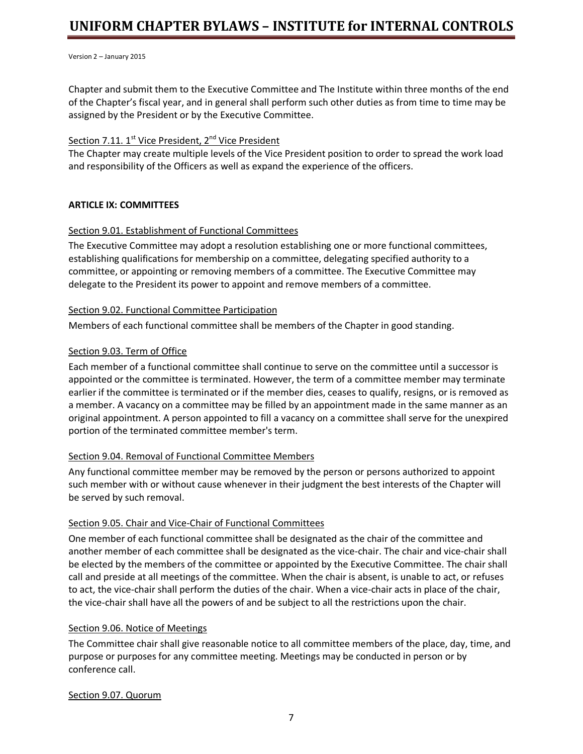Chapter and submit them to the Executive Committee and The Institute within three months of the end of the Chapter's fiscal year, and in general shall perform such other duties as from time to time may be assigned by the President or by the Executive Committee.

# Section 7.11. 1<sup>st</sup> Vice President, 2<sup>nd</sup> Vice President

The Chapter may create multiple levels of the Vice President position to order to spread the work load and responsibility of the Officers as well as expand the experience of the officers.

# **ARTICLE IX: COMMITTEES**

# Section 9.01. Establishment of Functional Committees

The Executive Committee may adopt a resolution establishing one or more functional committees, establishing qualifications for membership on a committee, delegating specified authority to a committee, or appointing or removing members of a committee. The Executive Committee may delegate to the President its power to appoint and remove members of a committee.

# Section 9.02. Functional Committee Participation

Members of each functional committee shall be members of the Chapter in good standing.

# Section 9.03. Term of Office

Each member of a functional committee shall continue to serve on the committee until a successor is appointed or the committee is terminated. However, the term of a committee member may terminate earlier if the committee is terminated or if the member dies, ceases to qualify, resigns, or is removed as a member. A vacancy on a committee may be filled by an appointment made in the same manner as an original appointment. A person appointed to fill a vacancy on a committee shall serve for the unexpired portion of the terminated committee member's term.

# Section 9.04. Removal of Functional Committee Members

Any functional committee member may be removed by the person or persons authorized to appoint such member with or without cause whenever in their judgment the best interests of the Chapter will be served by such removal.

# Section 9.05. Chair and Vice-Chair of Functional Committees

One member of each functional committee shall be designated as the chair of the committee and another member of each committee shall be designated as the vice-chair. The chair and vice-chair shall be elected by the members of the committee or appointed by the Executive Committee. The chair shall call and preside at all meetings of the committee. When the chair is absent, is unable to act, or refuses to act, the vice-chair shall perform the duties of the chair. When a vice-chair acts in place of the chair, the vice-chair shall have all the powers of and be subject to all the restrictions upon the chair.

# Section 9.06. Notice of Meetings

The Committee chair shall give reasonable notice to all committee members of the place, day, time, and purpose or purposes for any committee meeting. Meetings may be conducted in person or by conference call.

# Section 9.07. Quorum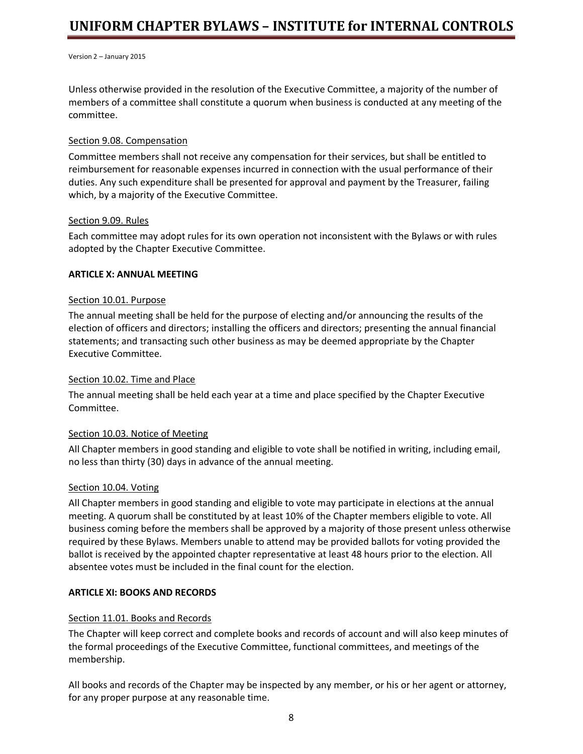Unless otherwise provided in the resolution of the Executive Committee, a majority of the number of members of a committee shall constitute a quorum when business is conducted at any meeting of the committee.

### Section 9.08. Compensation

Committee members shall not receive any compensation for their services, but shall be entitled to reimbursement for reasonable expenses incurred in connection with the usual performance of their duties. Any such expenditure shall be presented for approval and payment by the Treasurer, failing which, by a majority of the Executive Committee.

### Section 9.09. Rules

Each committee may adopt rules for its own operation not inconsistent with the Bylaws or with rules adopted by the Chapter Executive Committee.

### **ARTICLE X: ANNUAL MEETING**

### Section 10.01. Purpose

The annual meeting shall be held for the purpose of electing and/or announcing the results of the election of officers and directors; installing the officers and directors; presenting the annual financial statements; and transacting such other business as may be deemed appropriate by the Chapter Executive Committee.

### Section 10.02. Time and Place

The annual meeting shall be held each year at a time and place specified by the Chapter Executive Committee.

### Section 10.03. Notice of Meeting

All Chapter members in good standing and eligible to vote shall be notified in writing, including email, no less than thirty (30) days in advance of the annual meeting.

### Section 10.04. Voting

All Chapter members in good standing and eligible to vote may participate in elections at the annual meeting. A quorum shall be constituted by at least 10% of the Chapter members eligible to vote. All business coming before the members shall be approved by a majority of those present unless otherwise required by these Bylaws. Members unable to attend may be provided ballots for voting provided the ballot is received by the appointed chapter representative at least 48 hours prior to the election. All absentee votes must be included in the final count for the election.

# **ARTICLE XI: BOOKS AND RECORDS**

# Section 11.01. Books and Records

The Chapter will keep correct and complete books and records of account and will also keep minutes of the formal proceedings of the Executive Committee, functional committees, and meetings of the membership.

All books and records of the Chapter may be inspected by any member, or his or her agent or attorney, for any proper purpose at any reasonable time.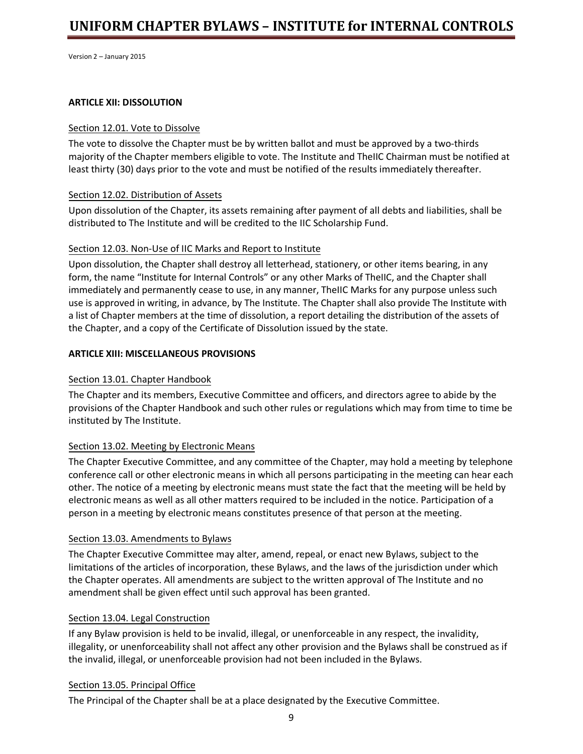# **UNIFORM CHAPTER BYLAWS – INSTITUTE for INTERNAL CONTROLS**

Version 2 – January 2015

### **ARTICLE XII: DISSOLUTION**

### Section 12.01. Vote to Dissolve

The vote to dissolve the Chapter must be by written ballot and must be approved by a two-thirds majority of the Chapter members eligible to vote. The Institute and TheIIC Chairman must be notified at least thirty (30) days prior to the vote and must be notified of the results immediately thereafter.

### Section 12.02. Distribution of Assets

Upon dissolution of the Chapter, its assets remaining after payment of all debts and liabilities, shall be distributed to The Institute and will be credited to the IIC Scholarship Fund.

# Section 12.03. Non-Use of IIC Marks and Report to Institute

Upon dissolution, the Chapter shall destroy all letterhead, stationery, or other items bearing, in any form, the name "Institute for Internal Controls" or any other Marks of TheIIC, and the Chapter shall immediately and permanently cease to use, in any manner, TheIIC Marks for any purpose unless such use is approved in writing, in advance, by The Institute. The Chapter shall also provide The Institute with a list of Chapter members at the time of dissolution, a report detailing the distribution of the assets of the Chapter, and a copy of the Certificate of Dissolution issued by the state.

# **ARTICLE XIII: MISCELLANEOUS PROVISIONS**

### Section 13.01. Chapter Handbook

The Chapter and its members, Executive Committee and officers, and directors agree to abide by the provisions of the Chapter Handbook and such other rules or regulations which may from time to time be instituted by The Institute.

# Section 13.02. Meeting by Electronic Means

The Chapter Executive Committee, and any committee of the Chapter, may hold a meeting by telephone conference call or other electronic means in which all persons participating in the meeting can hear each other. The notice of a meeting by electronic means must state the fact that the meeting will be held by electronic means as well as all other matters required to be included in the notice. Participation of a person in a meeting by electronic means constitutes presence of that person at the meeting.

### Section 13.03. Amendments to Bylaws

The Chapter Executive Committee may alter, amend, repeal, or enact new Bylaws, subject to the limitations of the articles of incorporation, these Bylaws, and the laws of the jurisdiction under which the Chapter operates. All amendments are subject to the written approval of The Institute and no amendment shall be given effect until such approval has been granted.

# Section 13.04. Legal Construction

If any Bylaw provision is held to be invalid, illegal, or unenforceable in any respect, the invalidity, illegality, or unenforceability shall not affect any other provision and the Bylaws shall be construed as if the invalid, illegal, or unenforceable provision had not been included in the Bylaws.

### Section 13.05. Principal Office

The Principal of the Chapter shall be at a place designated by the Executive Committee.